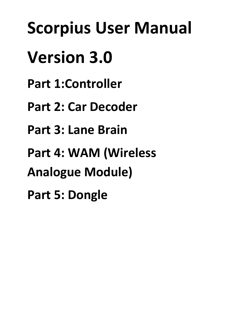# **Scorpius User Manual**

# **Version 3.0**

- **Part 1:Controller**
- **Part 2: Car Decoder**
- **Part 3: Lane Brain**
- **Part 4: WAM (Wireless**
- **Analogue Module)**
- **Part 5: Dongle**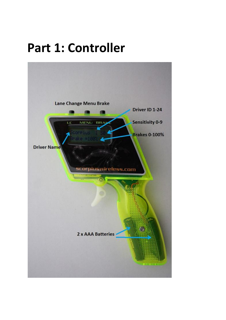# **Part 1: Controller**

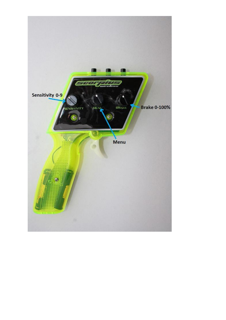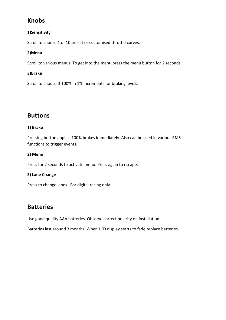## **Knobs**

## **1)Sensitivity**

Scroll to choose 1 of 10 preset or customised throttle curves.

## **2)Menu**

Scroll to various menus. To get into the menu press the menu button for 2 seconds.

## **3)Brake**

Scroll to choose 0-100% in 1% increments for braking levels.

## **Buttons**

## **1) Brake**

Pressing button applies 100% brakes immediately. Also can be used in various RMS functions to trigger events.

## **2) Menu**

Press for 2 seconds to activate menu. Press again to escape.

## **3) Lane Change**

Press to change lanes . For digital racing only.

## **Batteries**

Use good quality AAA batteries. Observe correct polarity on installation.

Batteries last around 3 months. When LCD display starts to fade replace batteries.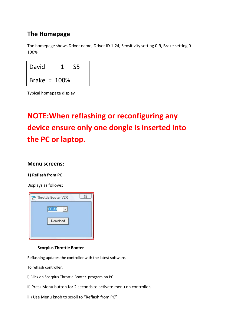## **The Homepage**

The homepage shows Driver name, Driver ID 1-24, Sensitivity setting 0-9, Brake setting 0- 100%



Typical homepage display

# **NOTE:When reflashing or reconfiguring any device ensure only one dongle is inserted into the PC or laptop.**

## **Menu screens:**

## **1) Reflash from PC**

Displays as follows:



## **Scorpius Throttle Booter**

Reflashing updates the controller with the latest software.

To reflash controller:

- i) Click on Scorpius Throttle Booter program on PC.
- ii) Press Menu button for 2 seconds to activate menu on controller.
- iii) Use Menu knob to scroll to "Reflash from PC"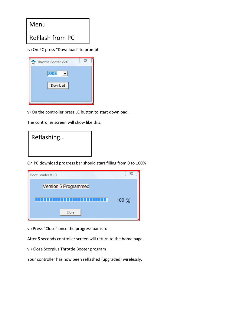

iv) On PC press "Download" to prompt

| Baa. | Throttle Booter V2.0 |  |
|------|----------------------|--|
|      | сомз                 |  |
|      | Download             |  |
|      |                      |  |

v) On the controller press LC button to start download.

The controller screen will show like this:



On PC download progress bar should start filling from 0 to 100%

| Boot Loader V1.0     |         |
|----------------------|---------|
| Version 5 Programmed |         |
| .                    | $100\%$ |
| Close                |         |

vi) Press "Close" once the progress bar is full.

After 5 seconds controller screen will return to the home page.

vi) Close Scorpius Throttle Booter program

Your controller has now been reflashed (upgraded) wirelessly.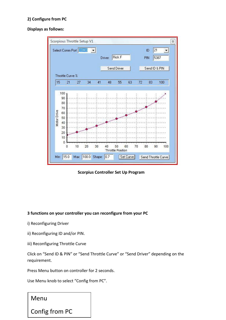## **2) Configure from PC**

#### **Displays as follows:**



 **Scorpius Controller Set Up Program**

## **3 functions on your controller you can reconfigure from your PC**

- i) Reconfiguring Driver
- ii) Reconfiguring ID and/or PIN.
- iii) Reconfiguring Throttle Curve

Click on "Send ID & PIN" or "Send Throttle Curve" or "Send Driver" depending on the requirement.

Press Menu button on controller for 2 seconds.

Use Menu knob to select "Config from PC".

Menu

Config from PC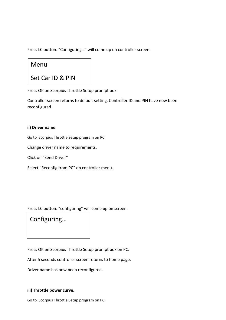Press LC button. "Configuring…" will come up on controller screen.

## Menu

## Set Car ID & PIN

Press OK on Scorpius Throttle Setup prompt box.

Controller screen returns to default setting. Controller ID and PIN have now been reconfigured.

### **ii) Driver name**

Go to Scorpius Throttle Setup program on PC

Change driver name to requirements.

Click on "Send Driver"

Select "Reconfig from PC" on controller menu.

Press LC button. "configuring" will come up on screen.

Configuring…

Press OK on Scorpius Throttle Setup prompt box on PC.

After 5 seconds controller screen returns to home page.

Driver name has now been reconfigured.

#### **iii) Throttle power curve.**

Go to Scorpius Throttle Setup program on PC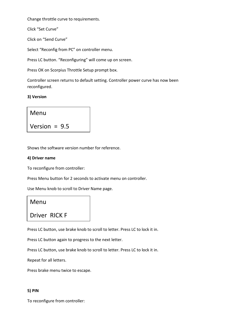Change throttle curve to requirements.

Click "Set Curve"

Click on "Send Curve"

Select "Reconfig from PC" on controller menu.

Press LC button. "Reconfiguring" will come up on screen.

Press OK on Scorpius Throttle Setup prompt box.

Controller screen returns to default setting. Controller power curve has now been reconfigured.

### **3) Version**

## Menu

Version  $= 9.5$ 

Shows the software version number for reference.

## **4) Driver name**

To reconfigure from controller:

Press Menu button for 2 seconds to activate menu on controller.

Use Menu knob to scroll to Driver Name page.

Menu

## Driver RICK F

Press LC button, use brake knob to scroll to letter. Press LC to lock it in.

Press LC button again to progress to the next letter.

Press LC button, use brake knob to scroll to letter. Press LC to lock it in.

Repeat for all letters.

Press brake menu twice to escape.

#### **5) PIN**

To reconfigure from controller: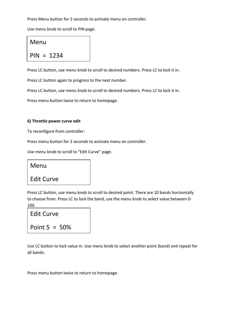Press Menu button for 2 seconds to activate menu on controller.

Use menu knob to scroll to PIN page.

## Menu

 $PIN = 1234$ 

Press LC button, use menu knob to scroll to desired numbers. Press LC to lock it in.

Press LC button again to progress to the next number.

Press LC button, use menu knob to scroll to desired numbers. Press LC to lock it in.

Press menu button twice to return to homepage.

## **6) Throttle power curve edit**

To reconfigure from controller:

Press menu button for 2 seconds to activate menu on controller.

Use menu knob to scroll to "Edit Curve" page.

Menu

## Edit Curve

Press LC button, use menu knob to scroll to desired point. There are 10 bands horizontally to choose from. Press LC to lock the band, use the menu knob to select value between 0- 100.

Edit Curve Point 5 = 50%

Use LC button to lock value in. Use menu knob to select another point (band) and repeat for all bands.

Press menu button twice to return to homepage.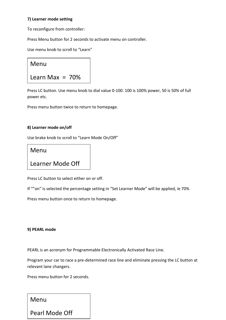## **7) Learner mode setting**

To reconfigure from controller:

Press Menu button for 2 seconds to activate menu on controller.

Use menu knob to scroll to "Learn"



Press LC button. Use menu knob to dial value 0-100. 100 is 100% power, 50 is 50% of full power etc.

Press menu button twice to return to homepage.

## **8) Learner mode on/off**

Use brake knob to scroll to "Learn Mode On/Off"

## Menu

## Learner Mode Off

Press LC button to select either on or off.

If ""on" is selected the percentage setting in "Set Learner Mode" will be applied, ie 70%

Press menu button once to return to homepage.

## **9) PEARL mode**

PEARL is an acronym for Programmable Electronically Activated Race Line.

Program your car to race a pre-determined race line and eliminate pressing the LC button at relevant lane changers.

Press menu button for 2 seconds.

Menu

Pearl Mode Off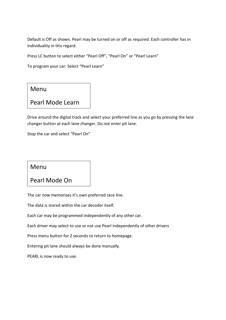Default is Off as shown. Pearl may be turned on or off as required. Each controller has in individuality in this regard.

Press LC button to select either "Pearl Off", "Pearl On" or "Pearl Learn"

To program your car: Select "Pearl Learn"

Menu

## Pearl Mode Learn

Drive around the digital track and select your preferred line as you go by pressing the lane changer button at each lane changer. Do not enter pit lane.

Stop the car and select "Pearl On"

Menu

Pearl Mode On

The car now memorises it's own preferred race line.

The data is stored within the car decoder itself.

Each car may be programmed independently of any other car.

Each driver may select to use or not use Pearl independently of other drivers

Press menu button for 2 seconds to return to homepage.

Entering pit lane should always be done manually.

PEARL is now ready to use.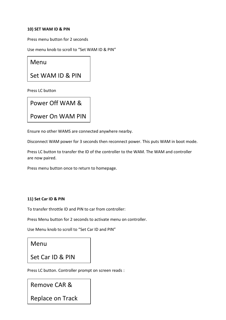### **10) SET WAM ID & PIN**

Press menu button for 2 seconds

Use menu knob to scroll to "Set WAM ID & PIN"

Menu

Set WAM ID & PIN

Press LC button

| Power Off WAM &  |
|------------------|
| Power On WAM PIN |

Ensure no other WAMS are connected anywhere nearby.

Disconnect WAM power for 3 seconds then reconnect power. This puts WAM in boot mode.

Press LC button to transfer the ID of the controller to the WAM. The WAM and controller are now paired.

Press menu button once to return to homepage.

## **11) Set Car ID & PIN**

To transfer throttle ID and PIN to car from controller:

Press Menu button for 2 seconds to activate menu on controller.

Use Menu knob to scroll to "Set Car ID and PIN"

## Menu

Set Car ID & PIN

Press LC button. Controller prompt on screen reads :

Remove CAR &

Replace on Track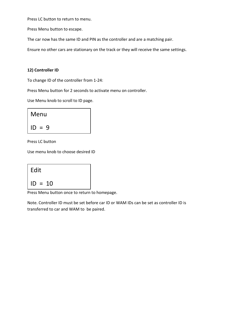Press LC button to return to menu.

Press Menu button to escape.

The car now has the same ID and PIN as the controller and are a matching pair.

Ensure no other cars are stationary on the track or they will receive the same settings.

## **12) Controller ID**

To change ID of the controller from 1-24:

Press Menu button for 2 seconds to activate menu on controller.

Use Menu knob to scroll to ID page.

| Menu     |  |
|----------|--|
| $ID = 9$ |  |

Press LC button

Use menu knob to choose desired ID

| Edit      |  |
|-----------|--|
| $ID = 10$ |  |

Press Menu button once to return to homepage.

Note. Controller ID must be set before car ID or WAM IDs can be set as controller ID is transferred to car and WAM to be paired.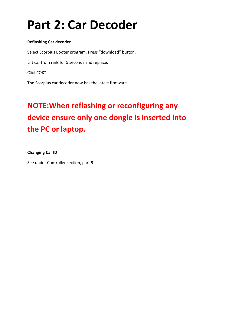# **Part 2: Car Decoder**

### **Reflashing Car decoder**

Select Scorpius Booter program. Press "download" button. Lift car from rails for 5 seconds and replace.

Click "OK"

The Scorpius car decoder now has the latest firmware.

# **NOTE:When reflashing or reconfiguring any device ensure only one dongle is inserted into the PC or laptop.**

**Changing Car ID**

See under Controller section, part 9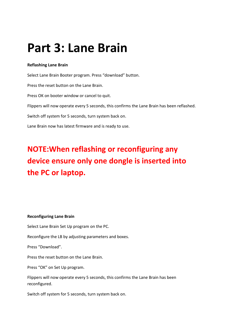# **Part 3: Lane Brain**

## **Reflashing Lane Brain**

Select Lane Brain Booter program. Press "download" button. Press the reset button on the Lane Brain. Press OK on booter window or cancel to quit. Flippers will now operate every 5 seconds, this confirms the Lane Brain has been reflashed. Switch off system for 5 seconds, turn system back on. Lane Brain now has latest firmware and is ready to use.

## **NOTE:When reflashing or reconfiguring any device ensure only one dongle is inserted into the PC or laptop.**

#### **Reconfiguring Lane Brain**

Select Lane Brain Set Up program on the PC.

Reconfigure the LB by adjusting parameters and boxes.

Press "Download".

Press the reset button on the Lane Brain.

Press "OK" on Set Up program.

Flippers will now operate every 5 seconds, this confirms the Lane Brain has been reconfigured.

Switch off system for 5 seconds, turn system back on.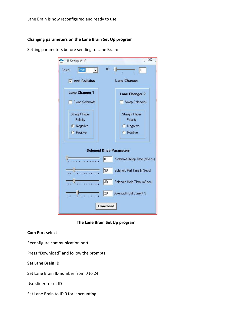Lane Brain is now reconfigured and ready to use.

### **Changing parameters on the Lane Brain Set Up program**

Setting parameters before sending to Lane Brain:

| LB Setup V1.0                                                               | $\Sigma$                                          |  |  |  |  |
|-----------------------------------------------------------------------------|---------------------------------------------------|--|--|--|--|
| Ports<br>Select                                                             | ID:<br>1                                          |  |  |  |  |
| <b>Lane Changer</b><br><b>▽ Anti Collision</b>                              |                                                   |  |  |  |  |
| <b>Lane Changer 1</b>                                                       | <b>Lane Changer 2</b>                             |  |  |  |  |
| Swap Solenoids                                                              | Swap Solenoids                                    |  |  |  |  |
| <b>Straight Fliiper</b><br>Polarity<br>· Negative                           | <b>Straight Fliiper</b><br>Polarity<br>· Negative |  |  |  |  |
| C Positive                                                                  | C Positive                                        |  |  |  |  |
|                                                                             | <b>Solenoid Drive Parameters</b>                  |  |  |  |  |
| .                                                                           | 0<br>Solenoid Delay Time (mSecs)                  |  |  |  |  |
| 30<br>Solenoid Pull Time (mSecs)<br>, , , , , , , , , , , , , , , , , , , , |                                                   |  |  |  |  |
| fan manna                                                                   | 30<br>Solenoid Hold Time (mSecs)                  |  |  |  |  |
| $\alpha = 0.5$                                                              | 20<br>Solenoid Hold Current %                     |  |  |  |  |
| Download                                                                    |                                                   |  |  |  |  |

 **The Lane Brain Set Up program**

#### **Com Port select**

Reconfigure communication port.

Press "Download" and follow the prompts.

#### **Set Lane Brain ID**

Set Lane Brain ID number from 0 to 24

Use slider to set ID

Set Lane Brain to ID 0 for lapcounting.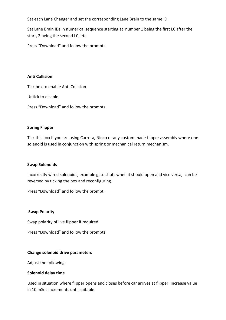Set each Lane Changer and set the corresponding Lane Brain to the same ID.

Set Lane Brain IDs in numerical sequence starting at number 1 being the first LC after the start, 2 being the second LC, etc

Press "Download" and follow the prompts.

#### **Anti Collision**

Tick box to enable Anti Collision

Untick to disable.

Press "Download" and follow the prompts.

#### **Spring Flipper**

Tick this box if you are using Carrera, Ninco or any custom made flipper assembly where one solenoid is used in conjunction with spring or mechanical return mechanism.

#### **Swap Solenoids**

Incorrectly wired solenoids, example gate shuts when it should open and vice versa, can be reversed by ticking the box and reconfiguring.

Press "Download" and follow the prompt.

#### **Swap Polarity**

Swap polarity of live flipper if required

Press "Download" and follow the prompts.

#### **Change solenoid drive parameters**

Adjust the following:

#### **Solenoid delay time**

Used in situation where flipper opens and closes before car arrives at flipper. Increase value in 10 mSec increments until suitable.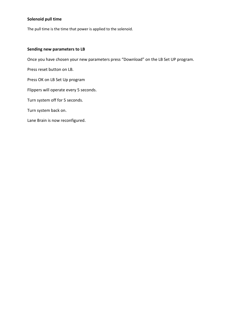## **Solenoid pull time**

The pull time is the time that power is applied to the solenoid.

#### **Sending new parameters to LB**

Once you have chosen your new parameters press "Download" on the LB Set UP program.

Press reset button on LB.

Press OK on LB Set Up program

Flippers will operate every 5 seconds.

Turn system off for 5 seconds.

Turn system back on.

Lane Brain is now reconfigured.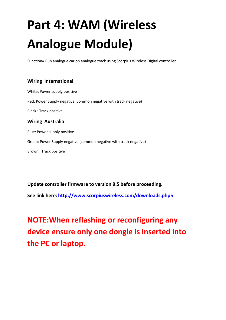# **Part 4: WAM (Wireless Analogue Module)**

Function= Run analogue car on analogue track using Scorpius Wireless Digital controller

## **Wiring International**

White: Power supply positive Red: Power Supply negative (common negative with track negative) Black : Track positive **Wiring Australia** Blue: Power supply positive Green: Power Supply negative (common negative with track negative)

Brown : Track positive

**Update controller firmware to version 9.5 before proceeding.**

**See link here: <http://www.scorpiuswireless.com/downloads.php5>**

# **NOTE:When reflashing or reconfiguring any device ensure only one dongle is inserted into the PC or laptop.**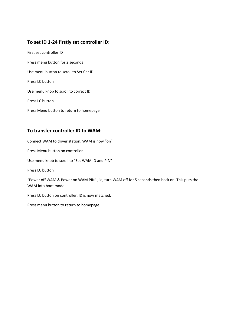## **To set ID 1-24 firstly set controller ID:**

First set controller ID Press menu button for 2 seconds Use menu button to scroll to Set Car ID Press LC button Use menu knob to scroll to correct ID Press LC button Press Menu button to return to homepage.

## **To transfer controller ID to WAM:**

Connect WAM to driver station. WAM is now "on" Press Menu button on controller Use menu knob to scroll to "Set WAM ID and PIN" Press LC button "Power off WAM & Power on WAM PIN" , ie, turn WAM off for 5 seconds then back on. This puts the WAM into boot mode. Press LC button on controller. ID is now matched. Press menu button to return to homepage.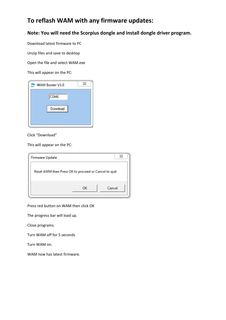## **To reflash WAM with any firmware updates:**

## **Note: You will need the Scorpius dongle and install dongle driver program.**

Download latest firmware to PC

Unzip files and save to desktop

Open the file and select WAM.exe

This will appear on the PC:



Click "Download"

This will appear on the PC:

| Firmware Update                                      |    | х      |  |  |  |
|------------------------------------------------------|----|--------|--|--|--|
| Reset AWM then Press OK to proceed or Cancel to quit |    |        |  |  |  |
|                                                      | ок | Cancel |  |  |  |

Press red button on WAM then click OK

The progress bar will load up.

Close programs.

Turn WAM off for 5 seconds

Turn WAM on.

WAM now has latest firmware.